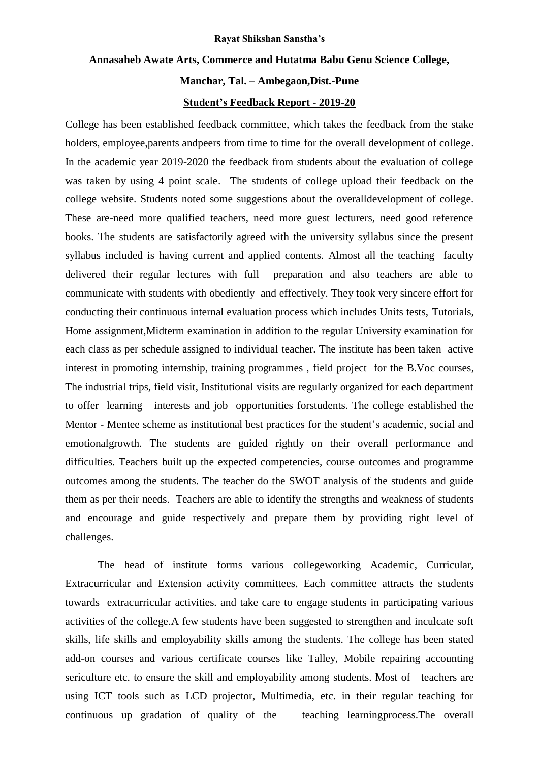#### **Rayat Shikshan Sanstha's**

## **Annasaheb Awate Arts, Commerce and Hutatma Babu Genu Science College,**

## **Manchar, Tal. – Ambegaon,Dist.-Pune**

#### **Student's Feedback Report - 2019-20**

College has been established feedback committee, which takes the feedback from the stake holders, employee,parents andpeers from time to time for the overall development of college. In the academic year 2019-2020 the feedback from students about the evaluation of college was taken by using 4 point scale. The students of college upload their feedback on the college website. Students noted some suggestions about the overalldevelopment of college. These are-need more qualified teachers, need more guest lecturers, need good reference books. The students are satisfactorily agreed with the university syllabus since the present syllabus included is having current and applied contents. Almost all the teaching faculty delivered their regular lectures with full preparation and also teachers are able to communicate with students with obediently and effectively. They took very sincere effort for conducting their continuous internal evaluation process which includes Units tests, Tutorials, Home assignment,Midterm examination in addition to the regular University examination for each class as per schedule assigned to individual teacher. The institute has been taken active interest in promoting internship, training programmes , field project for the B.Voc courses, The industrial trips, field visit, Institutional visits are regularly organized for each department to offer learning interests and job opportunities forstudents. The college established the Mentor - Mentee scheme as institutional best practices for the student's academic, social and emotionalgrowth. The students are guided rightly on their overall performance and difficulties. Teachers built up the expected competencies, course outcomes and programme outcomes among the students. The teacher do the SWOT analysis of the students and guide them as per their needs. Teachers are able to identify the strengths and weakness of students and encourage and guide respectively and prepare them by providing right level of challenges.

The head of institute forms various collegeworking Academic, Curricular, Extracurricular and Extension activity committees. Each committee attracts the students towards extracurricular activities. and take care to engage students in participating various activities of the college.A few students have been suggested to strengthen and inculcate soft skills, life skills and employability skills among the students. The college has been stated add-on courses and various certificate courses like Talley, Mobile repairing accounting sericulture etc. to ensure the skill and employability among students. Most of teachers are using ICT tools such as LCD projector, Multimedia, etc. in their regular teaching for continuous up gradation of quality of the teaching learningprocess.The overall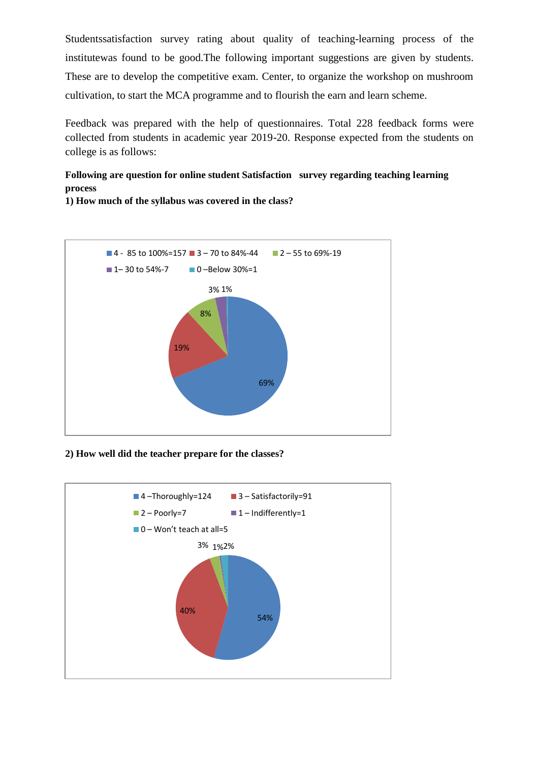Studentssatisfaction survey rating about quality of teaching-learning process of the institutewas found to be good.The following important suggestions are given by students. These are to develop the competitive exam. Center, to organize the workshop on mushroom cultivation, to start the MCA programme and to flourish the earn and learn scheme.

Feedback was prepared with the help of questionnaires. Total 228 feedback forms were collected from students in academic year 2019-20. Response expected from the students on college is as follows:

# **Following are question for online student Satisfaction survey regarding teaching learning process**



**1) How much of the syllabus was covered in the class?** 

**2) How well did the teacher prepare for the classes?**

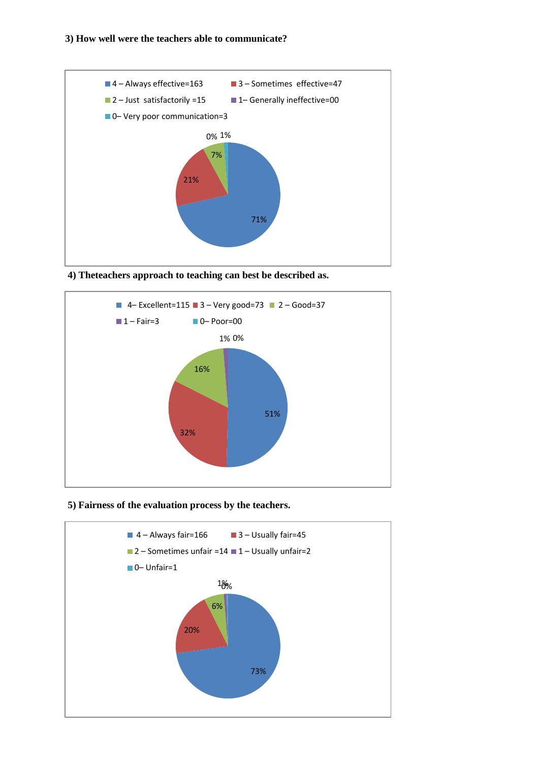

**4) Theteachers approach to teaching can best be described as.**



### **5) Fairness of the evaluation process by the teachers.**

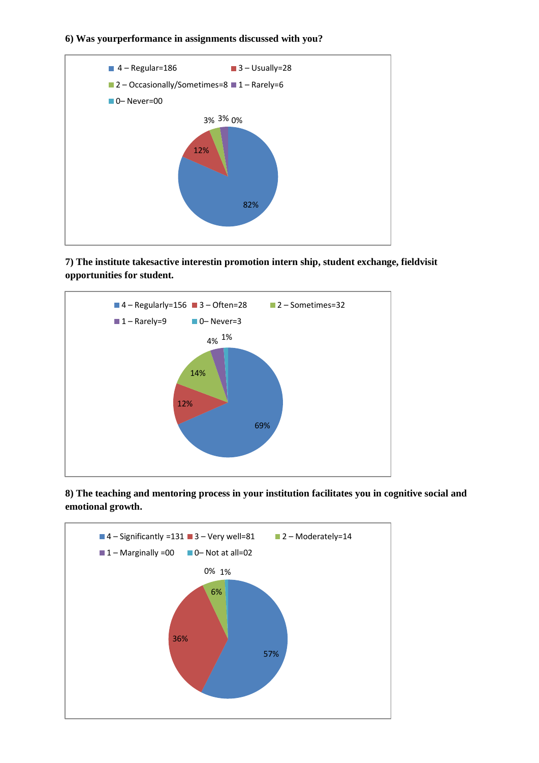## **6) Was yourperformance in assignments discussed with you?**



**7) The institute takesactive interestin promotion intern ship, student exchange, fieldvisit opportunities for student.** 



**8) The teaching and mentoring process in your institution facilitates you in cognitive social and emotional growth.** 

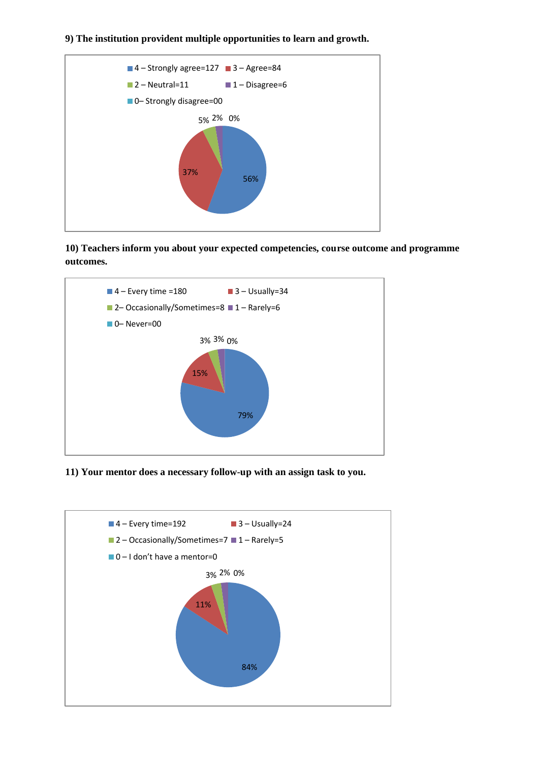### **9) The institution provident multiple opportunities to learn and growth.**



**10) Teachers inform you about your expected competencies, course outcome and programme outcomes.**



**11) Your mentor does a necessary follow-up with an assign task to you.**

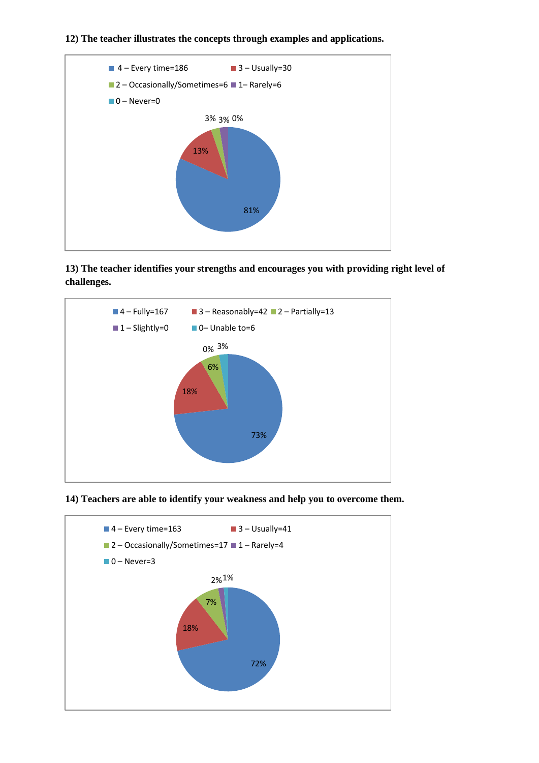### **12) The teacher illustrates the concepts through examples and applications.**



**13) The teacher identifies your strengths and encourages you with providing right level of challenges.**



**14) Teachers are able to identify your weakness and help you to overcome them.**

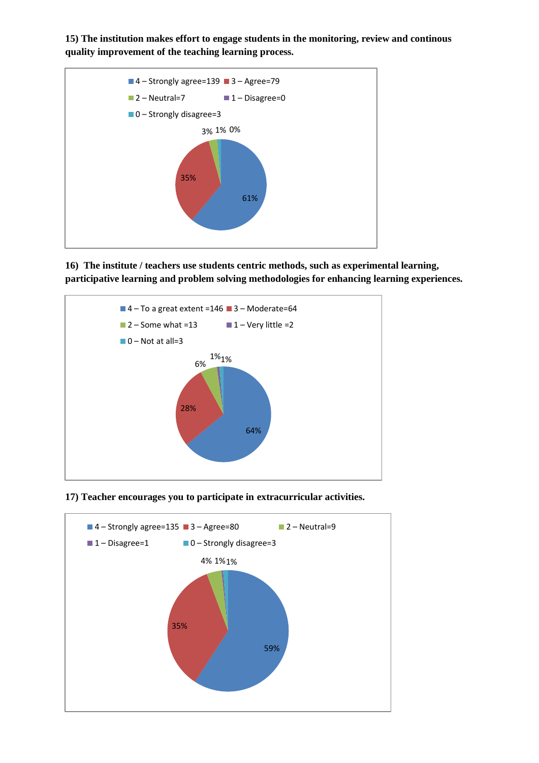**15) The institution makes effort to engage students in the monitoring, review and continous quality improvement of the teaching learning process.** 



**16) The institute / teachers use students centric methods, such as experimental learning, participative learning and problem solving methodologies for enhancing learning experiences.**



**17) Teacher encourages you to participate in extracurricular activities.**